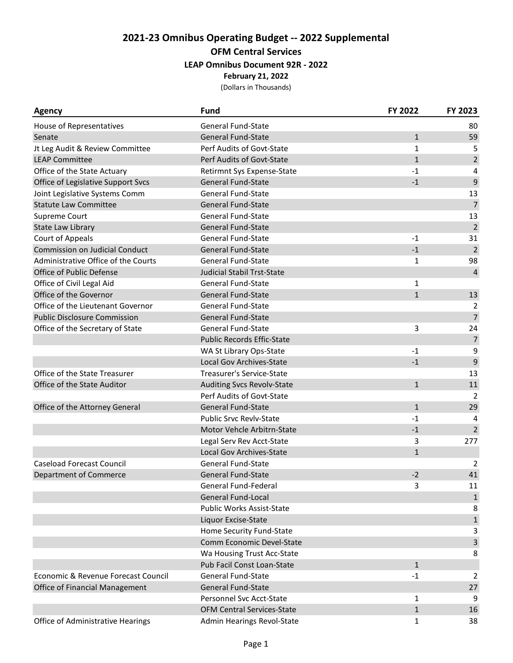# **2021-23 Omnibus Operating Budget -- 2022 Supplemental OFM Central Services LEAP Omnibus Document 92R - 2022**

**February 21, 2022**

| <b>Agency</b>                         | Fund                              | FY 2022      | FY 2023        |
|---------------------------------------|-----------------------------------|--------------|----------------|
| House of Representatives              | <b>General Fund-State</b>         |              | 80             |
| Senate                                | <b>General Fund-State</b>         | $\mathbf{1}$ | 59             |
| Jt Leg Audit & Review Committee       | Perf Audits of Govt-State         | $\mathbf{1}$ | 5              |
| <b>LEAP Committee</b>                 | Perf Audits of Govt-State         | $\mathbf{1}$ | $\overline{2}$ |
| Office of the State Actuary           | Retirmnt Sys Expense-State        | $-1$         | 4              |
| Office of Legislative Support Svcs    | <b>General Fund-State</b>         | $-1$         | 9              |
| Joint Legislative Systems Comm        | General Fund-State                |              | 13             |
| <b>Statute Law Committee</b>          | <b>General Fund-State</b>         |              | $\overline{7}$ |
| Supreme Court                         | <b>General Fund-State</b>         |              | 13             |
| <b>State Law Library</b>              | <b>General Fund-State</b>         |              | $\overline{2}$ |
| Court of Appeals                      | General Fund-State                | $-1$         | 31             |
| <b>Commission on Judicial Conduct</b> | <b>General Fund-State</b>         | $-1$         | $\overline{2}$ |
| Administrative Office of the Courts   | <b>General Fund-State</b>         | 1            | 98             |
| Office of Public Defense              | <b>Judicial Stabil Trst-State</b> |              | $\overline{4}$ |
| Office of Civil Legal Aid             | General Fund-State                | 1            |                |
| Office of the Governor                | <b>General Fund-State</b>         | $\mathbf{1}$ | 13             |
| Office of the Lieutenant Governor     | General Fund-State                |              | 2              |
| <b>Public Disclosure Commission</b>   | <b>General Fund-State</b>         |              | $\overline{7}$ |
| Office of the Secretary of State      | General Fund-State                | 3            | 24             |
|                                       | <b>Public Records Effic-State</b> |              | $\overline{7}$ |
|                                       | WA St Library Ops-State           | $-1$         | 9              |
|                                       | Local Gov Archives-State          | $-1$         | 9              |
| Office of the State Treasurer         | Treasurer's Service-State         |              | 13             |
| Office of the State Auditor           | <b>Auditing Svcs Revolv-State</b> | $\mathbf{1}$ | 11             |
|                                       | Perf Audits of Govt-State         |              | $\overline{2}$ |
| Office of the Attorney General        | <b>General Fund-State</b>         | $\mathbf{1}$ | 29             |
|                                       | <b>Public Srvc Revlv-State</b>    | $-1$         | 4              |
|                                       | Motor Vehcle Arbitrn-State        | $-1$         | $\overline{2}$ |
|                                       | Legal Serv Rev Acct-State         | 3            | 277            |
|                                       | Local Gov Archives-State          | $\mathbf{1}$ |                |
| <b>Caseload Forecast Council</b>      | <b>General Fund-State</b>         |              | 2              |
| <b>Department of Commerce</b>         | <b>General Fund-State</b>         | $-2$         | 41             |
|                                       | General Fund-Federal              | 3            | 11             |
|                                       | <b>General Fund-Local</b>         |              | $\mathbf{1}$   |
|                                       | <b>Public Works Assist-State</b>  |              | 8              |
|                                       | Liquor Excise-State               |              | $\mathbf{1}$   |
|                                       | Home Security Fund-State          |              | 3              |
|                                       | Comm Economic Devel-State         |              | 3              |
|                                       | Wa Housing Trust Acc-State        |              | 8              |
|                                       | Pub Facil Const Loan-State        | $\mathbf{1}$ |                |
| Economic & Revenue Forecast Council   | <b>General Fund-State</b>         | $-1$         | $\overline{2}$ |
| Office of Financial Management        | <b>General Fund-State</b>         |              | 27             |
|                                       | Personnel Svc Acct-State          | 1            | 9              |
|                                       | OFM Central Services-State        | $\mathbf{1}$ | 16             |
| Office of Administrative Hearings     | Admin Hearings Revol-State        | $\mathbf{1}$ | 38             |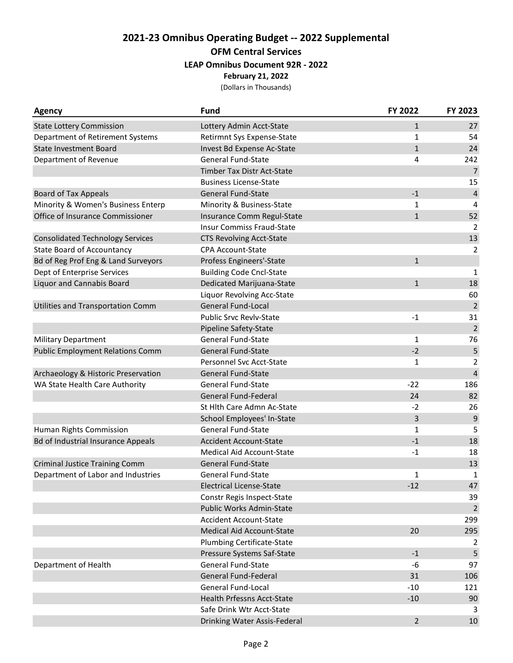## **2021-23 Omnibus Operating Budget -- 2022 Supplemental OFM Central Services**

#### **LEAP Omnibus Document 92R - 2022**

#### **February 21, 2022**

| Agency                                    | <b>Fund</b>                       | FY 2022        | FY 2023        |
|-------------------------------------------|-----------------------------------|----------------|----------------|
| <b>State Lottery Commission</b>           | Lottery Admin Acct-State          | $\mathbf{1}$   | 27             |
| Department of Retirement Systems          | Retirmnt Sys Expense-State        | 1              | 54             |
| <b>State Investment Board</b>             | Invest Bd Expense Ac-State        | $\mathbf 1$    | 24             |
| Department of Revenue                     | <b>General Fund-State</b>         | 4              | 242            |
|                                           | <b>Timber Tax Distr Act-State</b> |                | $\overline{7}$ |
|                                           | <b>Business License-State</b>     |                | 15             |
| <b>Board of Tax Appeals</b>               | <b>General Fund-State</b>         | $-1$           | $\sqrt{4}$     |
| Minority & Women's Business Enterp        | Minority & Business-State         | 1              | 4              |
| Office of Insurance Commissioner          | Insurance Comm Regul-State        | $\mathbf{1}$   | 52             |
|                                           | <b>Insur Commiss Fraud-State</b>  |                | $\overline{2}$ |
| <b>Consolidated Technology Services</b>   | <b>CTS Revolving Acct-State</b>   |                | 13             |
| <b>State Board of Accountancy</b>         | CPA Account-State                 |                | $\overline{2}$ |
| Bd of Reg Prof Eng & Land Surveyors       | Profess Engineers'-State          | $\mathbf{1}$   |                |
| Dept of Enterprise Services               | <b>Building Code Cncl-State</b>   |                | $\mathbf{1}$   |
| Liquor and Cannabis Board                 | Dedicated Marijuana-State         | $\mathbf{1}$   | 18             |
|                                           | Liquor Revolving Acc-State        |                | 60             |
| <b>Utilities and Transportation Comm</b>  | General Fund-Local                |                | $\sqrt{2}$     |
|                                           | <b>Public Srvc Revlv-State</b>    | $-1$           | 31             |
|                                           | Pipeline Safety-State             |                | $\overline{2}$ |
| <b>Military Department</b>                | <b>General Fund-State</b>         | $\mathbf{1}$   | 76             |
| <b>Public Employment Relations Comm</b>   | <b>General Fund-State</b>         | $-2$           | 5              |
|                                           | Personnel Svc Acct-State          | $\mathbf{1}$   | $\overline{2}$ |
| Archaeology & Historic Preservation       | <b>General Fund-State</b>         |                | $\overline{4}$ |
| WA State Health Care Authority            | <b>General Fund-State</b>         | $-22$          | 186            |
|                                           | <b>General Fund-Federal</b>       | 24             | 82             |
|                                           | St Hlth Care Admn Ac-State        | $-2$           | 26             |
|                                           | School Employees' In-State        | 3              | 9              |
| Human Rights Commission                   | General Fund-State                | $\mathbf{1}$   | 5              |
| <b>Bd of Industrial Insurance Appeals</b> | <b>Accident Account-State</b>     | $-1$           | 18             |
|                                           | <b>Medical Aid Account-State</b>  | $-1$           | 18             |
| <b>Criminal Justice Training Comm</b>     | <b>General Fund-State</b>         |                | 13             |
| Department of Labor and Industries        | <b>General Fund-State</b>         | $\mathbf 1$    | 1              |
|                                           | <b>Electrical License-State</b>   | $-12$          | 47             |
|                                           | Constr Regis Inspect-State        |                | 39             |
|                                           | Public Works Admin-State          |                | $\overline{2}$ |
|                                           | <b>Accident Account-State</b>     |                | 299            |
|                                           | <b>Medical Aid Account-State</b>  | 20             | 295            |
|                                           | Plumbing Certificate-State        |                | 2              |
|                                           | Pressure Systems Saf-State        | $-1$           | 5              |
| Department of Health                      | General Fund-State                | $-6$           | 97             |
|                                           | General Fund-Federal              | 31             | 106            |
|                                           | <b>General Fund-Local</b>         | $-10$          | 121            |
|                                           | <b>Health Prfessns Acct-State</b> | $-10$          | 90             |
|                                           | Safe Drink Wtr Acct-State         |                | 3              |
|                                           | Drinking Water Assis-Federal      | $\overline{2}$ | 10             |
|                                           |                                   |                |                |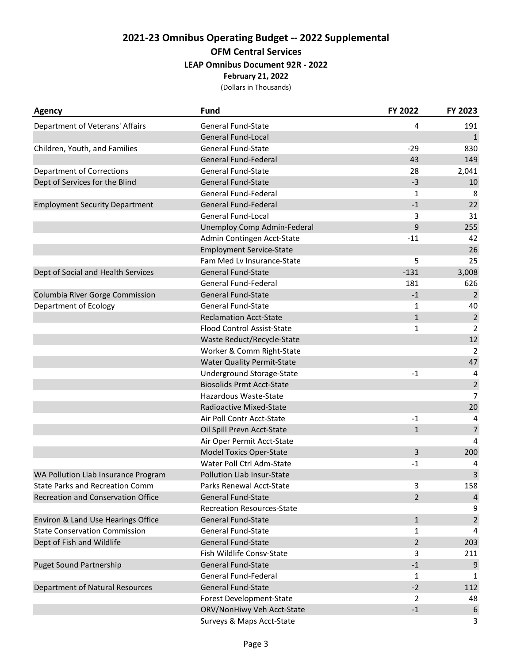# **2021-23 Omnibus Operating Budget -- 2022 Supplemental OFM Central Services LEAP Omnibus Document 92R - 2022**

**February 21, 2022**

| Agency                                 | Fund                              | FY 2022        | FY 2023          |
|----------------------------------------|-----------------------------------|----------------|------------------|
| Department of Veterans' Affairs        | <b>General Fund-State</b>         | 4              | 191              |
|                                        | <b>General Fund-Local</b>         |                | $\mathbf{1}$     |
| Children, Youth, and Families          | <b>General Fund-State</b>         | $-29$          | 830              |
|                                        | General Fund-Federal              | 43             | 149              |
| <b>Department of Corrections</b>       | <b>General Fund-State</b>         | 28             | 2,041            |
| Dept of Services for the Blind         | <b>General Fund-State</b>         | $-3$           | 10               |
|                                        | General Fund-Federal              | 1              | 8                |
| <b>Employment Security Department</b>  | <b>General Fund-Federal</b>       | $-1$           | 22               |
|                                        | General Fund-Local                | 3              | 31               |
|                                        | Unemploy Comp Admin-Federal       | 9              | 255              |
|                                        | Admin Contingen Acct-State        | $-11$          | 42               |
|                                        | <b>Employment Service-State</b>   |                | 26               |
|                                        | Fam Med Lv Insurance-State        | 5              | 25               |
| Dept of Social and Health Services     | <b>General Fund-State</b>         | $-131$         | 3,008            |
|                                        | General Fund-Federal              | 181            | 626              |
| Columbia River Gorge Commission        | <b>General Fund-State</b>         | $-1$           | $\overline{2}$   |
| Department of Ecology                  | <b>General Fund-State</b>         | 1              | 40               |
|                                        | <b>Reclamation Acct-State</b>     | $\mathbf{1}$   | $\sqrt{2}$       |
|                                        | Flood Control Assist-State        | $\mathbf{1}$   | $\overline{2}$   |
|                                        | Waste Reduct/Recycle-State        |                | 12               |
|                                        | Worker & Comm Right-State         |                | $\overline{2}$   |
|                                        | <b>Water Quality Permit-State</b> |                | 47               |
|                                        | Underground Storage-State         | $-1$           | 4                |
|                                        | <b>Biosolids Prmt Acct-State</b>  |                | $\overline{2}$   |
|                                        | Hazardous Waste-State             |                | $\overline{7}$   |
|                                        | Radioactive Mixed-State           |                | 20               |
|                                        | Air Poll Contr Acct-State         | $-1$           | 4                |
|                                        | Oil Spill Prevn Acct-State        | $\mathbf{1}$   | $\overline{7}$   |
|                                        | Air Oper Permit Acct-State        |                | 4                |
|                                        | <b>Model Toxics Oper-State</b>    | 3              | 200              |
|                                        | Water Poll Ctrl Adm-State         | $-1$           | 4                |
| WA Pollution Liab Insurance Program    | <b>Pollution Liab Insur-State</b> |                | 3                |
| <b>State Parks and Recreation Comm</b> | Parks Renewal Acct-State          | 3              | 158              |
| Recreation and Conservation Office     | <b>General Fund-State</b>         | $\overline{2}$ | $\overline{4}$   |
|                                        | <b>Recreation Resources-State</b> |                | 9                |
| Environ & Land Use Hearings Office     | <b>General Fund-State</b>         | $\mathbf{1}$   | $\overline{2}$   |
| <b>State Conservation Commission</b>   | <b>General Fund-State</b>         | 1              | 4                |
| Dept of Fish and Wildlife              | General Fund-State                | $\overline{2}$ | 203              |
|                                        | Fish Wildlife Consv-State         | 3              | 211              |
| <b>Puget Sound Partnership</b>         | General Fund-State                | $-1$           | 9                |
|                                        | General Fund-Federal              | 1              | 1                |
| Department of Natural Resources        | <b>General Fund-State</b>         | $-2$           | 112              |
|                                        | Forest Development-State          | $\overline{2}$ | 48               |
|                                        | ORV/NonHiwy Veh Acct-State        | $\textbf{-1}$  | $\boldsymbol{6}$ |
|                                        | Surveys & Maps Acct-State         |                | 3                |